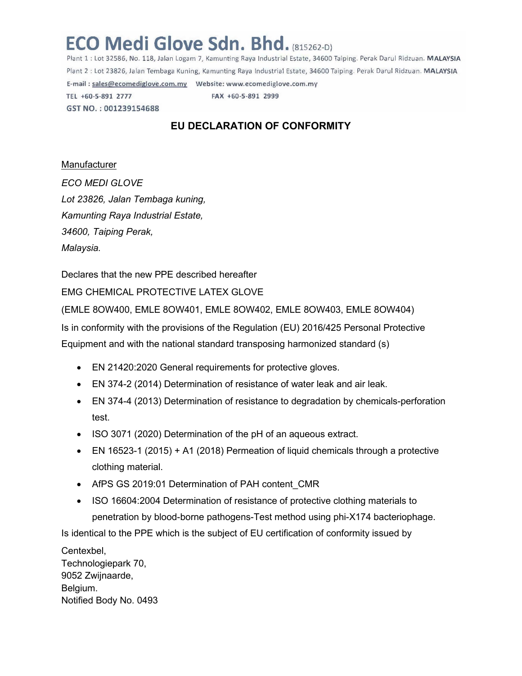## **ECO Medi Glove Sdn. Bhd. (815262-D)**

Plant 1 : Lot 32586, No. 118, Jalan Logam 7, Kamunting Raya Industrial Estate, 34600 Taiping. Perak Darul Ridzuan. MALAYSIA Plant 2 : Lot 23826, Jalan Tembaga Kuning, Kamunting Raya Industrial Estate, 34600 Taiping. Perak Darul Ridzuan. MALAYSIA TEL +60-5-891 2777 FAX +60-5-891 2999 GST NO.: 001239154688

## **EU DECLARATION OF CONFORMITY**

## Manufacturer

*ECO MEDI GLOVE Lot 23826, Jalan Tembaga kuning, Kamunting Raya Industrial Estate, 34600, Taiping Perak, Malaysia.*

Declares that the new PPE described hereafter

EMG CHEMICAL PROTECTIVE LATEX GLOVE

(EMLE 8OW400, EMLE 8OW401, EMLE 8OW402, EMLE 8OW403, EMLE 8OW404)

Is in conformity with the provisions of the Regulation (EU) 2016/425 Personal Protective Equipment and with the national standard transposing harmonized standard (s)

- EN 21420:2020 General requirements for protective gloves.
- EN 374-2 (2014) Determination of resistance of water leak and air leak.
- EN 374-4 (2013) Determination of resistance to degradation by chemicals-perforation test.
- ISO 3071 (2020) Determination of the pH of an aqueous extract.
- EN 16523-1 (2015) + A1 (2018) Permeation of liquid chemicals through a protective clothing material.
- AfPS GS 2019:01 Determination of PAH content CMR
- ISO 16604:2004 Determination of resistance of protective clothing materials to penetration by blood-borne pathogens-Test method using phi-X174 bacteriophage.

Is identical to the PPE which is the subject of EU certification of conformity issued by

Centexbel, Technologiepark 70, 9052 Zwijnaarde, Belgium. Notified Body No. 0493